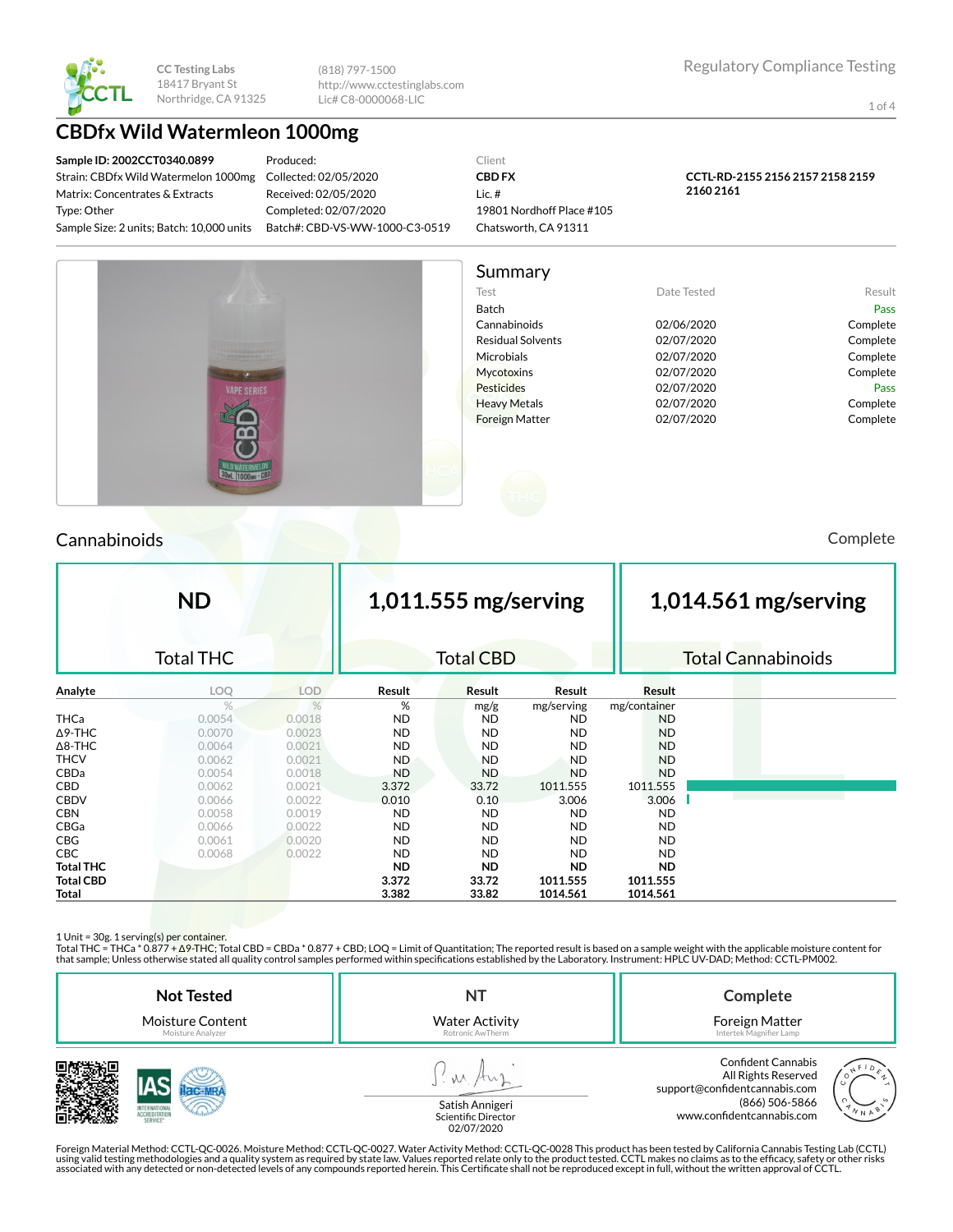

(818) 797-1500 http://www.cctestinglabs.com Lic# C8-0000068-LIC

1 of 4

## **CBDfx Wild Watermleon 1000mg**

**Sample ID: 2002CCT0340.0899** Strain: CBDfx Wild Watermelon 1000mg Matrix: Concentrates & Extracts Type: Other Sample Size: 2 units; Batch: 10,000 units

Produced: Collected: 02/05/2020 Received: 02/05/2020 Completed: 02/07/2020 Batch#: CBD-VS-WW-1000-C3-0519 Client **CBD FX** Lic. # 19801 Nordhoff Place #105 Chatsworth, CA 91311

**CCTL-RD-2155 2156 2157 2158 2159 2160 2161**

Summary Test **Date Tested** Result Batch Pass Cannabinoids 02/06/2020 Complete Residual Solvents **02/07/2020** Complete Microbials 02/07/2020 Complete Mycotoxins 02/07/2020 Complete Pesticides **Data Pass** 02/07/2020 **Pass** Pass Heavy Metals **Complete** 02/07/2020 Complete Foreign Matter 02/07/2020 Complete

### Cannabinoids Complete

|                  | <b>ND</b>        |               | 1,011.555 mg/serving |                  |            |              | $1,014.561$ mg/serving |                           |  |
|------------------|------------------|---------------|----------------------|------------------|------------|--------------|------------------------|---------------------------|--|
|                  | <b>Total THC</b> |               |                      | <b>Total CBD</b> |            |              |                        | <b>Total Cannabinoids</b> |  |
| Analyte          | LOQ              | <b>LOD</b>    | Result               | Result           | Result     | Result       |                        |                           |  |
|                  | %                | $\frac{0}{2}$ | %                    | mg/g             | mg/serving | mg/container |                        |                           |  |
| <b>THCa</b>      | 0.0054           | 0.0018        | <b>ND</b>            | <b>ND</b>        | <b>ND</b>  | <b>ND</b>    |                        |                           |  |
| $\Delta$ 9-THC   | 0.0070           | 0.0023        | <b>ND</b>            | <b>ND</b>        | <b>ND</b>  | <b>ND</b>    |                        |                           |  |
| $\Delta$ 8-THC   | 0.0064           | 0.0021        | <b>ND</b>            | <b>ND</b>        | <b>ND</b>  | <b>ND</b>    |                        |                           |  |
| <b>THCV</b>      | 0.0062           | 0.0021        | <b>ND</b>            | <b>ND</b>        | <b>ND</b>  | <b>ND</b>    |                        |                           |  |
| CBDa             | 0.0054           | 0.0018        | <b>ND</b>            | <b>ND</b>        | <b>ND</b>  | <b>ND</b>    |                        |                           |  |
| CBD              | 0.0062           | 0.0021        | 3.372                | 33.72            | 1011.555   | 1011.555     |                        |                           |  |
| <b>CBDV</b>      | 0.0066           | 0.0022        | 0.010                | 0.10             | 3.006      | 3.006        |                        |                           |  |
| <b>CBN</b>       | 0.0058           | 0.0019        | <b>ND</b>            | <b>ND</b>        | <b>ND</b>  | <b>ND</b>    |                        |                           |  |
| CBGa             | 0.0066           | 0.0022        | <b>ND</b>            | <b>ND</b>        | <b>ND</b>  | <b>ND</b>    |                        |                           |  |
| <b>CBG</b>       | 0.0061           | 0.0020        | <b>ND</b>            | <b>ND</b>        | <b>ND</b>  | <b>ND</b>    |                        |                           |  |
| CBC              | 0.0068           | 0.0022        | <b>ND</b>            | <b>ND</b>        | <b>ND</b>  | <b>ND</b>    |                        |                           |  |
| <b>Total THC</b> |                  |               | ND.                  | <b>ND</b>        | <b>ND</b>  | ND.          |                        |                           |  |
| <b>Total CBD</b> |                  |               | 3.372                | 33.72            | 1011.555   | 1011.555     |                        |                           |  |
| <b>Total</b>     |                  |               | 3.382                | 33.82            | 1014.561   | 1014.561     |                        |                           |  |

1 Unit = 30g. 1 serving(s) per container.

Total THC = THCa \* 0.877 + ∆9-THC; Total CBD = CBDa \* 0.877 + CBD; LOQ = Limit of Quantitation; The reported result is based on a sample weight with the applicable moisture content for that sample; Unless otherwise stated all quality control samples performed within specifications established by the Laboratory. Instrument: HPLC UV-DAD; Method: CCTL-PM002.

| <b>Not Tested</b>       | NT                                     | Complete                                                                                                                                               |  |
|-------------------------|----------------------------------------|--------------------------------------------------------------------------------------------------------------------------------------------------------|--|
| <b>Moisture Content</b> | <b>Water Activity</b>                  | Foreign Matter                                                                                                                                         |  |
| Moisture Analyzer       | Rotronic AwTherm                       | Intertek Magnifier Lamp                                                                                                                                |  |
| ERVICE                  | Satish Annigeri<br>Scientific Director | <b>Confident Cannabis</b><br>All Rights Reserved<br>support@confidentcannabis.com<br>(866) 506-5866<br>∧ <sub>N A</sub> '<br>www.confidentcannabis.com |  |



Scientific Director<br>02/07/2020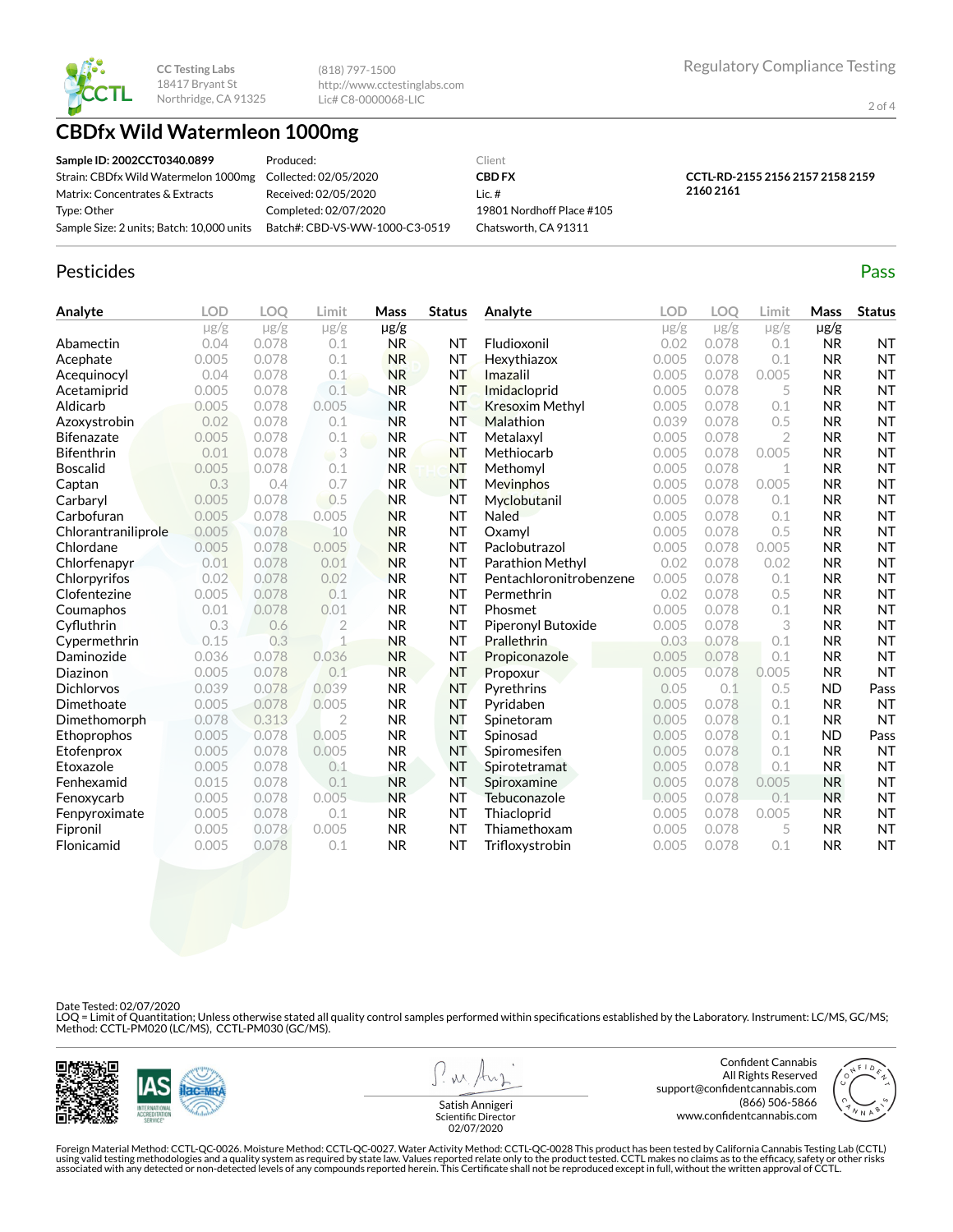

(818) 797-1500 http://www.cctestinglabs.com Lic# C8-0000068-LIC

2 of 4

# **CBDfx Wild Watermleon 1000mg**

**Sample ID: 2002CCT0340.0899** Strain: CBDfx Wild Watermelon 1000mg Matrix: Concentrates & Extracts Type: Other Sample Size: 2 units; Batch: 10,000 units Produced:

Collected: 02/05/2020 Received: 02/05/2020 Completed: 02/07/2020 Batch#: CBD-VS-WW-1000-C3-0519 Client **CBD FX** Lic. # 19801 Nordhoff Place #105 Chatsworth, CA 91311

**CCTL-RD-2155 2156 2157 2158 2159 2160 2161**

# Pesticides **Passage Contract Contract Contract Contract Contract Contract Contract Contract Contract Contract Contract Contract Contract Contract Contract Contract Contract Contract Contract Contract Contract Contract Cont**

| Analyte             | <b>LOD</b> | LOQ       | Limit          | Mass      | <b>Status</b> | Analyte                 | <b>LOD</b> | LOO       | Limit          | Mass      | <b>Status</b> |
|---------------------|------------|-----------|----------------|-----------|---------------|-------------------------|------------|-----------|----------------|-----------|---------------|
|                     | $\mu$ g/g  | $\mu$ g/g | $\mu$ g/g      | $\mu$ g/g |               |                         | $\mu$ g/g  | $\mu$ g/g | $\mu$ g/g      | $\mu$ g/g |               |
| Abamectin           | 0.04       | 0.078     | 0.1            | <b>NR</b> | NT            | Fludioxonil             | 0.02       | 0.078     | 0.1            | <b>NR</b> | <b>NT</b>     |
| Acephate            | 0.005      | 0.078     | 0.1            | <b>NR</b> | NT            | Hexythiazox             | 0.005      | 0.078     | 0.1            | <b>NR</b> | <b>NT</b>     |
| Acequinocyl         | 0.04       | 0.078     | 0.1            | <b>NR</b> | NT            | Imazalil                | 0.005      | 0.078     | 0.005          | <b>NR</b> | <b>NT</b>     |
| Acetamiprid         | 0.005      | 0.078     | 0.1            | <b>NR</b> | <b>NT</b>     | Imidacloprid            | 0.005      | 0.078     | 5              | <b>NR</b> | NT            |
| Aldicarb            | 0.005      | 0.078     | 0.005          | <b>NR</b> | <b>NT</b>     | <b>Kresoxim Methyl</b>  | 0.005      | 0.078     | 0.1            | <b>NR</b> | <b>NT</b>     |
| Azoxystrobin        | 0.02       | 0.078     | 0.1            | <b>NR</b> | NT            | Malathion               | 0.039      | 0.078     | 0.5            | <b>NR</b> | <b>NT</b>     |
| <b>Bifenazate</b>   | 0.005      | 0.078     | 0.1            | <b>NR</b> | <b>NT</b>     | Metalaxyl               | 0.005      | 0.078     | $\overline{2}$ | <b>NR</b> | <b>NT</b>     |
| <b>Bifenthrin</b>   | 0.01       | 0.078     | 3<br>hщ        | <b>NR</b> | <b>NT</b>     | Methiocarb              | 0.005      | 0.078     | 0.005          | <b>NR</b> | <b>NT</b>     |
| <b>Boscalid</b>     | 0.005      | 0.078     | 0.1            | <b>NR</b> | <b>NT</b>     | Methomyl                | 0.005      | 0.078     | 1              | <b>NR</b> | <b>NT</b>     |
| Captan              | 0.3        | 0.4       | 0.7            | <b>NR</b> | NT            | <b>Mevinphos</b>        | 0.005      | 0.078     | 0.005          | <b>NR</b> | <b>NT</b>     |
| Carbaryl            | 0.005      | 0.078     | 0.5            | <b>NR</b> | <b>NT</b>     | Myclobutanil            | 0.005      | 0.078     | 0.1            | <b>NR</b> | <b>NT</b>     |
| Carbofuran          | 0.005      | 0.078     | 0.005          | <b>NR</b> | <b>NT</b>     | Naled                   | 0.005      | 0.078     | 0.1            | <b>NR</b> | <b>NT</b>     |
| Chlorantraniliprole | 0.005      | 0.078     | 10             | <b>NR</b> | <b>NT</b>     | Oxamyl                  | 0.005      | 0.078     | 0.5            | <b>NR</b> | <b>NT</b>     |
| Chlordane           | 0.005      | 0.078     | 0.005          | <b>NR</b> | <b>NT</b>     | Paclobutrazol           | 0.005      | 0.078     | 0.005          | <b>NR</b> | <b>NT</b>     |
| Chlorfenapyr        | 0.01       | 0.078     | 0.01           | <b>NR</b> | <b>NT</b>     | Parathion Methyl        | 0.02       | 0.078     | 0.02           | <b>NR</b> | <b>NT</b>     |
| Chlorpyrifos        | 0.02       | 0.078     | 0.02           | <b>NR</b> | <b>NT</b>     | Pentachloronitrobenzene | 0.005      | 0.078     | 0.1            | <b>NR</b> | NT            |
| Clofentezine        | 0.005      | 0.078     | 0.1            | <b>NR</b> | <b>NT</b>     | Permethrin              | 0.02       | 0.078     | 0.5            | <b>NR</b> | <b>NT</b>     |
| Coumaphos           | 0.01       | 0.078     | 0.01           | <b>NR</b> | <b>NT</b>     | Phosmet                 | 0.005      | 0.078     | 0.1            | <b>NR</b> | <b>NT</b>     |
| Cyfluthrin          | 0.3        | 0.6       | $\overline{2}$ | <b>NR</b> | <b>NT</b>     | Piperonyl Butoxide      | 0.005      | 0.078     | 3              | <b>NR</b> | <b>NT</b>     |
| Cypermethrin        | 0.15       | 0.3       | $\overline{1}$ | <b>NR</b> | <b>NT</b>     | <b>Prallethrin</b>      | 0.03       | 0.078     | 0.1            | <b>NR</b> | <b>NT</b>     |
| Daminozide          | 0.036      | 0.078     | 0.036          | <b>NR</b> | <b>NT</b>     | Propiconazole           | 0.005      | 0.078     | 0.1            | <b>NR</b> | <b>NT</b>     |
| Diazinon            | 0.005      | 0.078     | 0.1            | <b>NR</b> | <b>NT</b>     | Propoxur                | 0.005      | 0.078     | 0.005          | <b>NR</b> | <b>NT</b>     |
| Dichlorvos          | 0.039      | 0.078     | 0.039          | <b>NR</b> | <b>NT</b>     | Pyrethrins              | 0.05       | 0.1       | 0.5            | <b>ND</b> | Pass          |
| Dimethoate          | 0.005      | 0.078     | 0.005          | <b>NR</b> | <b>NT</b>     | Pyridaben               | 0.005      | 0.078     | 0.1            | <b>NR</b> | <b>NT</b>     |
| Dimethomorph        | 0.078      | 0.313     | $\overline{2}$ | <b>NR</b> | <b>NT</b>     | Spinetoram              | 0.005      | 0.078     | 0.1            | <b>NR</b> | <b>NT</b>     |
| Ethoprophos         | 0.005      | 0.078     | 0.005          | <b>NR</b> | <b>NT</b>     | Spinosad                | 0.005      | 0.078     | 0.1            | <b>ND</b> | Pass          |
| Etofenprox          | 0.005      | 0.078     | 0.005          | <b>NR</b> | <b>NT</b>     | Spiromesifen            | 0.005      | 0.078     | 0.1            | <b>NR</b> | <b>NT</b>     |
| Etoxazole           | 0.005      | 0.078     | 0.1            | <b>NR</b> | <b>NT</b>     | Spirotetramat           | 0.005      | 0.078     | 0.1            | <b>NR</b> | <b>NT</b>     |
| Fenhexamid          | 0.015      | 0.078     | 0.1            | <b>NR</b> | <b>NT</b>     | Spiroxamine             | 0.005      | 0.078     | 0.005          | <b>NR</b> | <b>NT</b>     |
| Fenoxycarb          | 0.005      | 0.078     | 0.005          | <b>NR</b> | <b>NT</b>     | Tebuconazole            | 0.005      | 0.078     | 0.1            | <b>NR</b> | <b>NT</b>     |
| Fenpyroximate       | 0.005      | 0.078     | 0.1            | <b>NR</b> | <b>NT</b>     | Thiacloprid             | 0.005      | 0.078     | 0.005          | <b>NR</b> | <b>NT</b>     |
| Fipronil            | 0.005      | 0.078     | 0.005          | <b>NR</b> | <b>NT</b>     | Thiamethoxam            | 0.005      | 0.078     | 5              | <b>NR</b> | <b>NT</b>     |
| Flonicamid          | 0.005      | 0.078     | 0.1            | <b>NR</b> | NT            | Trifloxystrobin         | 0.005      | 0.078     | 0.1            | <b>NR</b> | NT            |

Date Tested: 02/07/2020

LOQ = Limit of Quantitation; Unless otherwise stated all quality control samples performed within specifications established by the Laboratory. Instrument: LC/MS, GC/MS;<br>Method: CCTL-PM020 (LC/MS), CCTL-PM030 (GC/MS).



 $\lambda$ 

Confident Cannabis All Rights Reserved support@confidentcannabis.com (866) 506-5866 www.confidentcannabis.com



Satish Annigeri Scientific Director 02/07/2020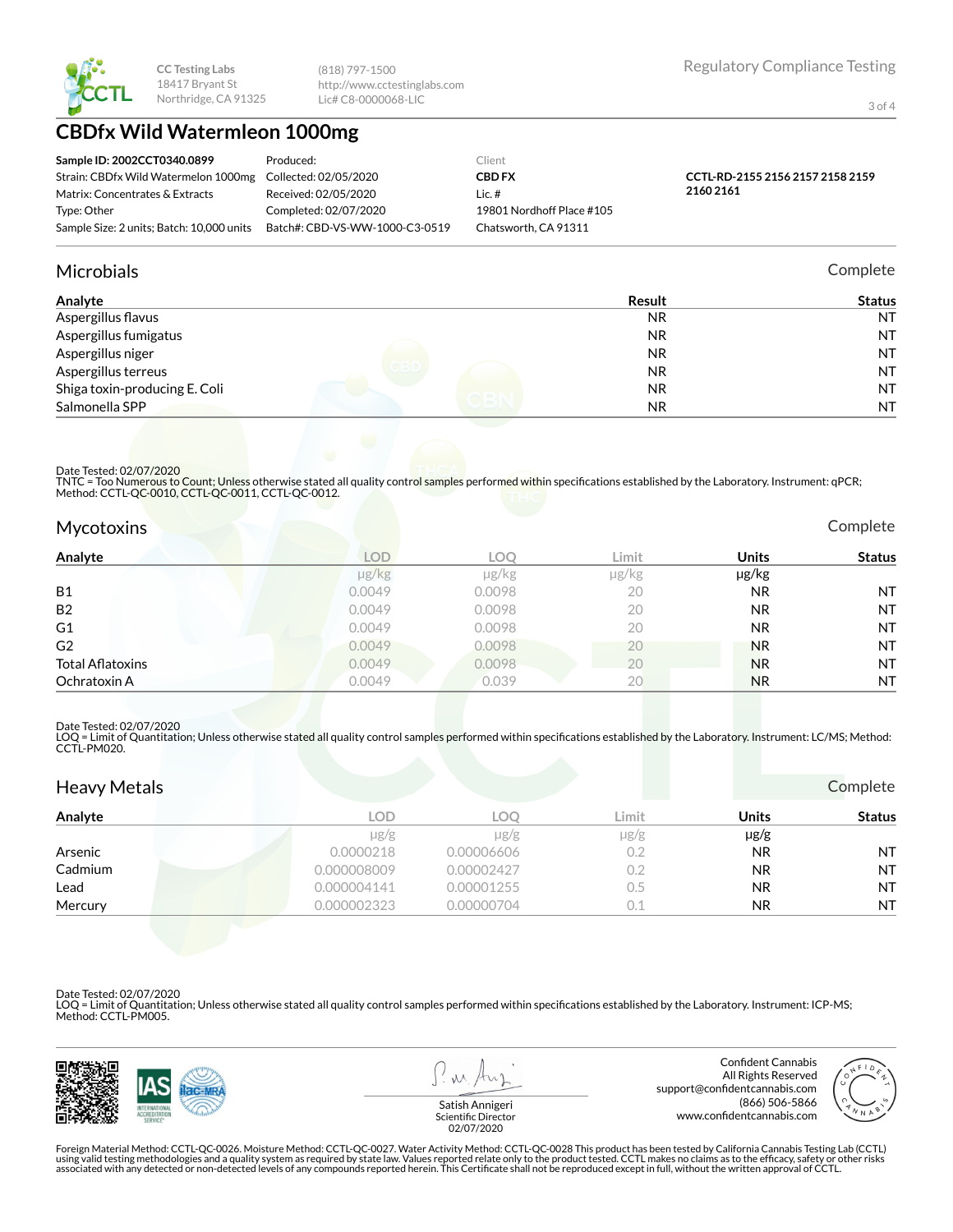

(818) 797-1500 http://www.cctestinglabs.com Lic# C8-0000068-LIC

3 of 4

## **CBDfx Wild Watermleon 1000mg**

| Sample ID: 2002CCT0340.0899                                | Produced:                      | Client                    |                                  |
|------------------------------------------------------------|--------------------------------|---------------------------|----------------------------------|
| Strain: CBDfx Wild Watermelon 1000mg Collected: 02/05/2020 |                                | <b>CBD FX</b>             | CCTL-RD-2155 2156 2157 2158 2159 |
| Matrix: Concentrates & Extracts                            | Received: 02/05/2020           | Lic.#                     | 2160 2161                        |
| Type: Other                                                | Completed: 02/07/2020          | 19801 Nordhoff Place #105 |                                  |
| Sample Size: 2 units: Batch: 10.000 units                  | Batch#: CBD-VS-WW-1000-C3-0519 | Chatsworth, CA 91311      |                                  |

#### Microbials Complete

| Analyte                       | Result    | <b>Status</b> |
|-------------------------------|-----------|---------------|
| Aspergillus flavus            | NR.       | <b>NT</b>     |
| Aspergillus fumigatus         | <b>NR</b> | <b>NT</b>     |
| Aspergillus niger             | <b>NR</b> | <b>NT</b>     |
| Aspergillus terreus           | <b>NR</b> | <b>NT</b>     |
| Shiga toxin-producing E. Coli | <b>NR</b> | <b>NT</b>     |
| Salmonella SPP                | NR        | <b>NT</b>     |

#### Date Tested: 02/07/2020

TNTC = Too Numerous to Count; Unless otherwise stated all quality control samples performed within specifications established by the Laboratory. Instrument: qPCR; Method: CCTL-QC-0010, CCTL-QC-0011, CCTL-QC-0012.

| Mycotoxins              |            |            |       |              | Complete      |
|-------------------------|------------|------------|-------|--------------|---------------|
| Analyte                 | <b>LOD</b> | <b>LOQ</b> | Limit | <b>Units</b> | <b>Status</b> |
|                         | µg/kg      | µg/kg      | µg/kg | µg/kg        |               |
| B1                      | 0.0049     | 0.0098     | 20    | NR.          | <b>NT</b>     |
| <b>B2</b>               | 0.0049     | 0.0098     | 20    | NR.          | <b>NT</b>     |
| G1                      | 0.0049     | 0.0098     | 20    | <b>NR</b>    | <b>NT</b>     |
| G <sub>2</sub>          | 0.0049     | 0.0098     | 20    | <b>NR</b>    | <b>NT</b>     |
| <b>Total Aflatoxins</b> | 0.0049     | 0.0098     | 20    | <b>NR</b>    | <b>NT</b>     |
| Ochratoxin A            | 0.0049     | 0.039      | 20    | <b>NR</b>    | <b>NT</b>     |

#### Date Tested: 02/07/2020

LOQ = Limit of Quantitation; Unless otherwise stated all quality control samples performed within specifications established by the Laboratory. Instrument: LC/MS; Method:<br>CCTL-PM020.

| <b>Heavy Metals</b> |             |            |           |              | Complete      |
|---------------------|-------------|------------|-----------|--------------|---------------|
| Analyte             | <b>LOD</b>  | LOO        | Limit     | <b>Units</b> | <b>Status</b> |
|                     | $\mu$ g/g   | $\mu$ g/g  | $\mu$ g/g | $\mu$ g/g    |               |
| Arsenic             | 0.0000218   | 0.00006606 | 0.2       | <b>NR</b>    | <b>NT</b>     |
| Cadmium             | 0.000008009 | 0.00002427 | 0.2       | <b>NR</b>    | NT            |
| Lead                | 0.000004141 | 0.00001255 | 0.5       | <b>NR</b>    | <b>NT</b>     |
| Mercury             | 0.000002323 | 0.00000704 | 0.1       | <b>NR</b>    | <b>NT</b>     |

Date Tested: 02/07/2020

LOQ = Limit of Quantitation; Unless otherwise stated all quality control samples performed within specifications established by the Laboratory. Instrument: ICP-MS; Method: CCTL-PM005.



 $\lambda$ 

Confident Cannabis All Rights Reserved support@confidentcannabis.com (866) 506-5866 www.confidentcannabis.com



Satish Annigeri Scientific Director 02/07/2020